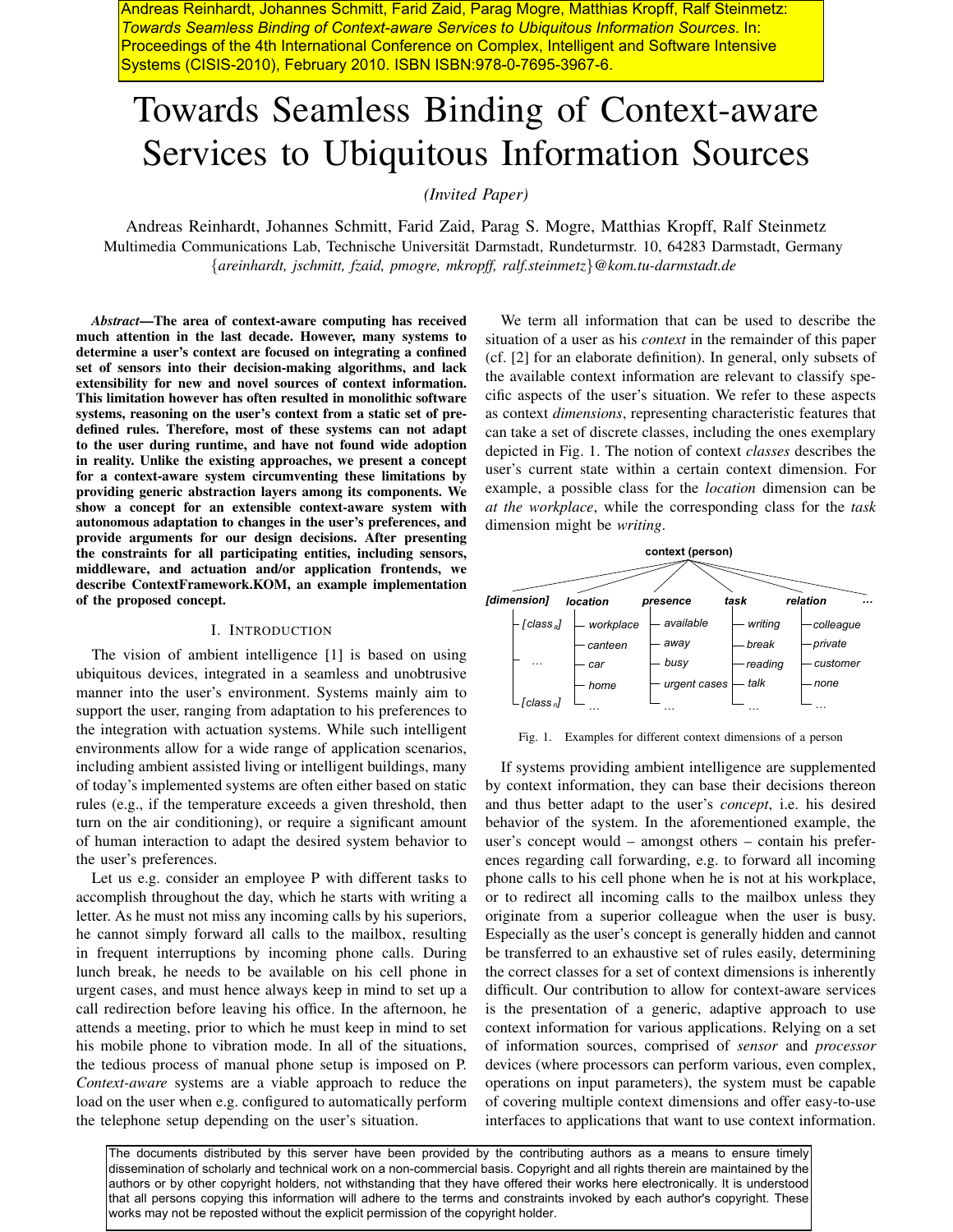Andreas Reinhardt, Johannes Schmitt, Farid Zaid, Parag Mogre, Matthias Kropff, Ralf Steinmetz: *Towards Seamless Binding of Context-aware Services to Ubiquitous Information Sources*. In: Proceedings of the 4th International Conference on Complex, Intelligent and Software Intensive Systems (CISIS-2010), February 2010. ISBN ISBN:978-0-7695-3967-6.

# Towards Seamless Binding of Context-aware Services to Ubiquitous Information Sources

*(Invited Paper)*

Andreas Reinhardt, Johannes Schmitt, Farid Zaid, Parag S. Mogre, Matthias Kropff, Ralf Steinmetz Multimedia Communications Lab, Technische Universitat Darmstadt, Rundeturmstr. 10, 64283 Darmstadt, Germany ¨ {*areinhardt, jschmitt, fzaid, pmogre, mkropff, ralf.steinmetz*}*@kom.tu-darmstadt.de*

*Abstract*—The area of context-aware computing has received much attention in the last decade. However, many systems to determine a user's context are focused on integrating a confined set of sensors into their decision-making algorithms, and lack extensibility for new and novel sources of context information. This limitation however has often resulted in monolithic software systems, reasoning on the user's context from a static set of predefined rules. Therefore, most of these systems can not adapt to the user during runtime, and have not found wide adoption in reality. Unlike the existing approaches, we present a concept for a context-aware system circumventing these limitations by providing generic abstraction layers among its components. We show a concept for an extensible context-aware system with autonomous adaptation to changes in the user's preferences, and provide arguments for our design decisions. After presenting the constraints for all participating entities, including sensors, middleware, and actuation and/or application frontends, we describe ContextFramework.KOM, an example implementation of the proposed concept.

#### I. INTRODUCTION

The vision of ambient intelligence [1] is based on using ubiquitous devices, integrated in a seamless and unobtrusive manner into the user's environment. Systems mainly aim to support the user, ranging from adaptation to his preferences to the integration with actuation systems. While such intelligent environments allow for a wide range of application scenarios, including ambient assisted living or intelligent buildings, many of today's implemented systems are often either based on static rules (e.g., if the temperature exceeds a given threshold, then turn on the air conditioning), or require a significant amount of human interaction to adapt the desired system behavior to the user's preferences.

Let us e.g. consider an employee P with different tasks to accomplish throughout the day, which he starts with writing a letter. As he must not miss any incoming calls by his superiors, he cannot simply forward all calls to the mailbox, resulting in frequent interruptions by incoming phone calls. During lunch break, he needs to be available on his cell phone in urgent cases, and must hence always keep in mind to set up a call redirection before leaving his office. In the afternoon, he attends a meeting, prior to which he must keep in mind to set his mobile phone to vibration mode. In all of the situations, the tedious process of manual phone setup is imposed on P. *Context-aware* systems are a viable approach to reduce the load on the user when e.g. configured to automatically perform the telephone setup depending on the user's situation.

We term all information that can be used to describe the situation of a user as his *context* in the remainder of this paper (cf. [2] for an elaborate definition). In general, only subsets of the available context information are relevant to classify specific aspects of the user's situation. We refer to these aspects as context *dimensions*, representing characteristic features that can take a set of discrete classes, including the ones exemplary depicted in Fig. 1. The notion of context *classes* describes the user's current state within a certain context dimension. For example, a possible class for the *location* dimension can be *at the workplace*, while the corresponding class for the *task* dimension might be *writing*.



Fig. 1. Examples for different context dimensions of a person

If systems providing ambient intelligence are supplemented by context information, they can base their decisions thereon and thus better adapt to the user's *concept*, i.e. his desired behavior of the system. In the aforementioned example, the user's concept would – amongst others – contain his preferences regarding call forwarding, e.g. to forward all incoming phone calls to his cell phone when he is not at his workplace, or to redirect all incoming calls to the mailbox unless they originate from a superior colleague when the user is busy. Especially as the user's concept is generally hidden and cannot be transferred to an exhaustive set of rules easily, determining the correct classes for a set of context dimensions is inherently difficult. Our contribution to allow for context-aware services is the presentation of a generic, adaptive approach to use context information for various applications. Relying on a set of information sources, comprised of *sensor* and *processor* devices (where processors can perform various, even complex, operations on input parameters), the system must be capable of covering multiple context dimensions and offer easy-to-use interfaces to applications that want to use context information.

The documents distributed by this server have been provided by the contributing authors as a means to ensure timely dissemination of scholarly and technical work on a non-commercial basis. Copyright and all rights therein are maintained by the authors or by other copyright holders, not withstanding that they have offered their works here electronically. It is understood that all persons copying this information will adhere to the terms and constraints invoked by each author's copyright. These works may not be reposted without the explicit permission of the copyright holder.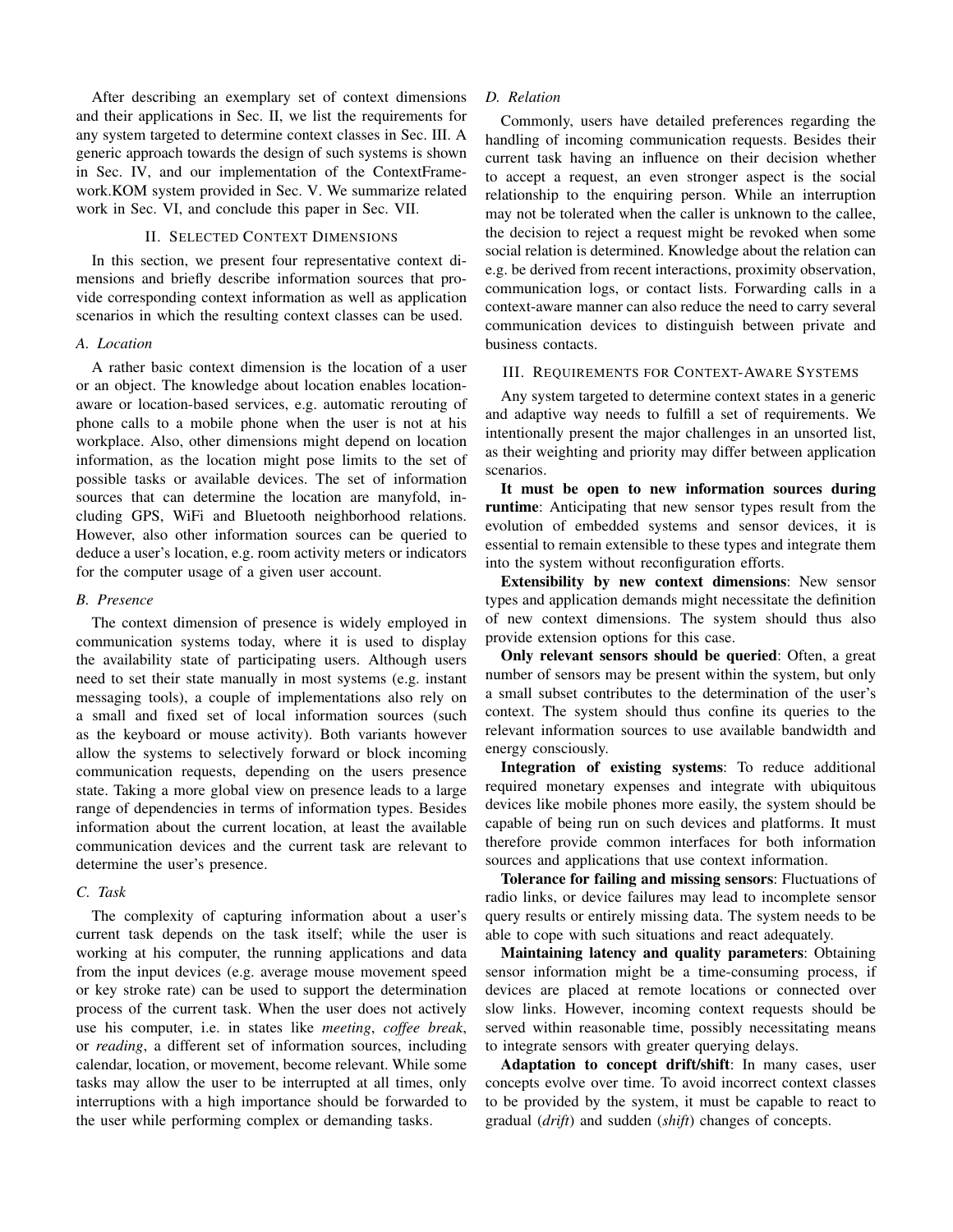After describing an exemplary set of context dimensions and their applications in Sec. II, we list the requirements for any system targeted to determine context classes in Sec. III. A generic approach towards the design of such systems is shown in Sec. IV, and our implementation of the ContextFramework.KOM system provided in Sec. V. We summarize related work in Sec. VI, and conclude this paper in Sec. VII.

#### II. SELECTED CONTEXT DIMENSIONS

In this section, we present four representative context dimensions and briefly describe information sources that provide corresponding context information as well as application scenarios in which the resulting context classes can be used.

#### *A. Location*

A rather basic context dimension is the location of a user or an object. The knowledge about location enables locationaware or location-based services, e.g. automatic rerouting of phone calls to a mobile phone when the user is not at his workplace. Also, other dimensions might depend on location information, as the location might pose limits to the set of possible tasks or available devices. The set of information sources that can determine the location are manyfold, including GPS, WiFi and Bluetooth neighborhood relations. However, also other information sources can be queried to deduce a user's location, e.g. room activity meters or indicators for the computer usage of a given user account.

# *B. Presence*

The context dimension of presence is widely employed in communication systems today, where it is used to display the availability state of participating users. Although users need to set their state manually in most systems (e.g. instant messaging tools), a couple of implementations also rely on a small and fixed set of local information sources (such as the keyboard or mouse activity). Both variants however allow the systems to selectively forward or block incoming communication requests, depending on the users presence state. Taking a more global view on presence leads to a large range of dependencies in terms of information types. Besides information about the current location, at least the available communication devices and the current task are relevant to determine the user's presence.

## *C. Task*

The complexity of capturing information about a user's current task depends on the task itself; while the user is working at his computer, the running applications and data from the input devices (e.g. average mouse movement speed or key stroke rate) can be used to support the determination process of the current task. When the user does not actively use his computer, i.e. in states like *meeting*, *coffee break*, or *reading*, a different set of information sources, including calendar, location, or movement, become relevant. While some tasks may allow the user to be interrupted at all times, only interruptions with a high importance should be forwarded to the user while performing complex or demanding tasks.

## *D. Relation*

Commonly, users have detailed preferences regarding the handling of incoming communication requests. Besides their current task having an influence on their decision whether to accept a request, an even stronger aspect is the social relationship to the enquiring person. While an interruption may not be tolerated when the caller is unknown to the callee, the decision to reject a request might be revoked when some social relation is determined. Knowledge about the relation can e.g. be derived from recent interactions, proximity observation, communication logs, or contact lists. Forwarding calls in a context-aware manner can also reduce the need to carry several communication devices to distinguish between private and business contacts.

#### III. REQUIREMENTS FOR CONTEXT-AWARE SYSTEMS

Any system targeted to determine context states in a generic and adaptive way needs to fulfill a set of requirements. We intentionally present the major challenges in an unsorted list, as their weighting and priority may differ between application scenarios.

It must be open to new information sources during runtime: Anticipating that new sensor types result from the evolution of embedded systems and sensor devices, it is essential to remain extensible to these types and integrate them into the system without reconfiguration efforts.

Extensibility by new context dimensions: New sensor types and application demands might necessitate the definition of new context dimensions. The system should thus also provide extension options for this case.

Only relevant sensors should be queried: Often, a great number of sensors may be present within the system, but only a small subset contributes to the determination of the user's context. The system should thus confine its queries to the relevant information sources to use available bandwidth and energy consciously.

Integration of existing systems: To reduce additional required monetary expenses and integrate with ubiquitous devices like mobile phones more easily, the system should be capable of being run on such devices and platforms. It must therefore provide common interfaces for both information sources and applications that use context information.

Tolerance for failing and missing sensors: Fluctuations of radio links, or device failures may lead to incomplete sensor query results or entirely missing data. The system needs to be able to cope with such situations and react adequately.

Maintaining latency and quality parameters: Obtaining sensor information might be a time-consuming process, if devices are placed at remote locations or connected over slow links. However, incoming context requests should be served within reasonable time, possibly necessitating means to integrate sensors with greater querying delays.

Adaptation to concept drift/shift: In many cases, user concepts evolve over time. To avoid incorrect context classes to be provided by the system, it must be capable to react to gradual (*drift*) and sudden (*shift*) changes of concepts.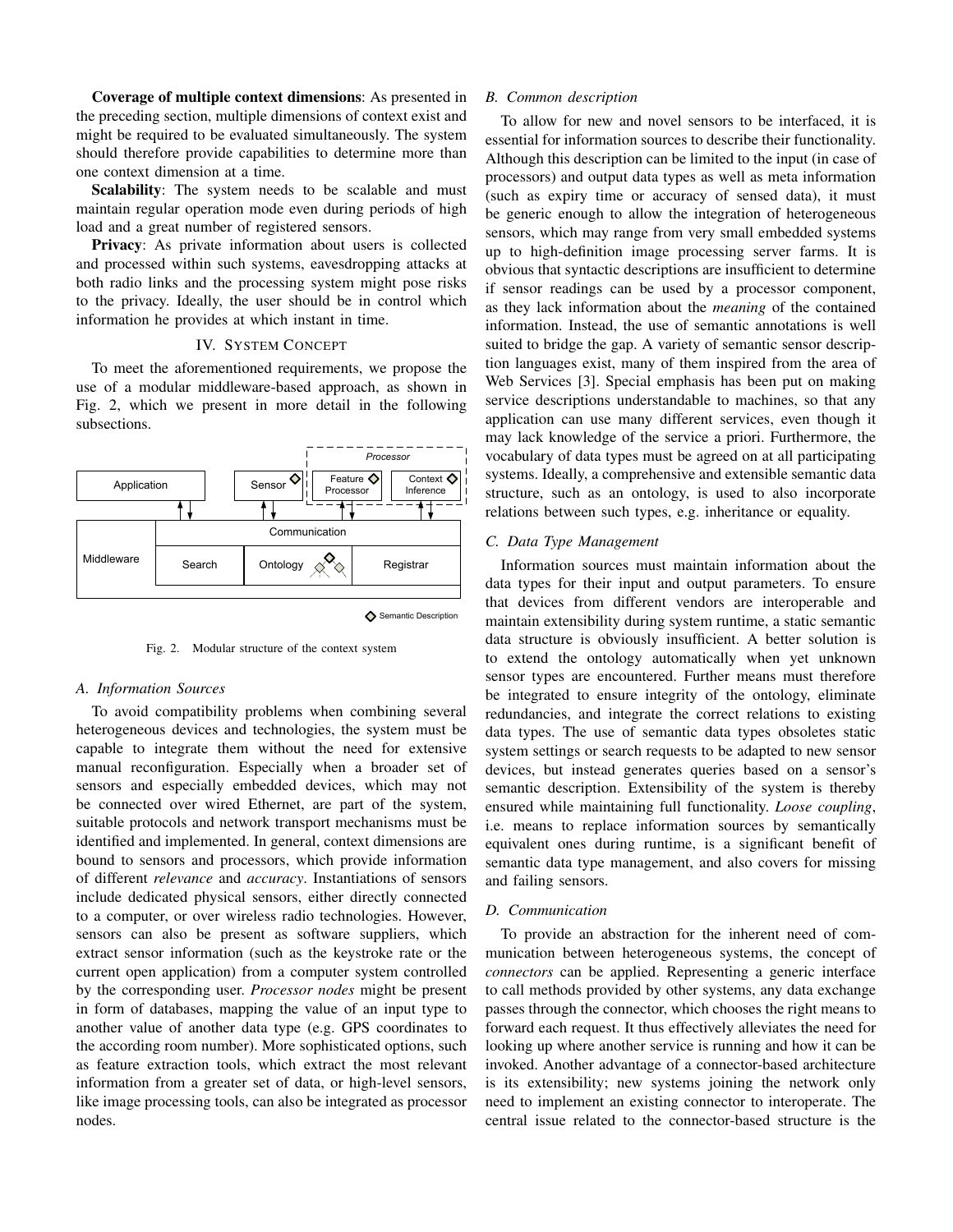Coverage of multiple context dimensions: As presented in the preceding section, multiple dimensions of context exist and might be required to be evaluated simultaneously. The system should therefore provide capabilities to determine more than one context dimension at a time.

Scalability: The system needs to be scalable and must maintain regular operation mode even during periods of high load and a great number of registered sensors.

Privacy: As private information about users is collected and processed within such systems, eavesdropping attacks at both radio links and the processing system might pose risks to the privacy. Ideally, the user should be in control which information he provides at which instant in time.

# IV. SYSTEM CONCEPT

To meet the aforementioned requirements, we propose the use of a modular middleware-based approach, as shown in Fig. 2, which we present in more detail in the following subsections.



Semantic Description

Fig. 2. Modular structure of the context system

#### *A. Information Sources*

To avoid compatibility problems when combining several heterogeneous devices and technologies, the system must be capable to integrate them without the need for extensive manual reconfiguration. Especially when a broader set of sensors and especially embedded devices, which may not be connected over wired Ethernet, are part of the system, suitable protocols and network transport mechanisms must be identified and implemented. In general, context dimensions are bound to sensors and processors, which provide information of different *relevance* and *accuracy*. Instantiations of sensors include dedicated physical sensors, either directly connected to a computer, or over wireless radio technologies. However, sensors can also be present as software suppliers, which extract sensor information (such as the keystroke rate or the current open application) from a computer system controlled by the corresponding user. *Processor nodes* might be present in form of databases, mapping the value of an input type to another value of another data type (e.g. GPS coordinates to the according room number). More sophisticated options, such as feature extraction tools, which extract the most relevant information from a greater set of data, or high-level sensors, like image processing tools, can also be integrated as processor nodes.

## *B. Common description*

To allow for new and novel sensors to be interfaced, it is essential for information sources to describe their functionality. Although this description can be limited to the input (in case of processors) and output data types as well as meta information (such as expiry time or accuracy of sensed data), it must be generic enough to allow the integration of heterogeneous sensors, which may range from very small embedded systems up to high-definition image processing server farms. It is obvious that syntactic descriptions are insufficient to determine if sensor readings can be used by a processor component, as they lack information about the *meaning* of the contained information. Instead, the use of semantic annotations is well suited to bridge the gap. A variety of semantic sensor description languages exist, many of them inspired from the area of Web Services [3]. Special emphasis has been put on making service descriptions understandable to machines, so that any application can use many different services, even though it may lack knowledge of the service a priori. Furthermore, the vocabulary of data types must be agreed on at all participating systems. Ideally, a comprehensive and extensible semantic data structure, such as an ontology, is used to also incorporate relations between such types, e.g. inheritance or equality.

# *C. Data Type Management*

Information sources must maintain information about the data types for their input and output parameters. To ensure that devices from different vendors are interoperable and maintain extensibility during system runtime, a static semantic data structure is obviously insufficient. A better solution is to extend the ontology automatically when yet unknown sensor types are encountered. Further means must therefore be integrated to ensure integrity of the ontology, eliminate redundancies, and integrate the correct relations to existing data types. The use of semantic data types obsoletes static system settings or search requests to be adapted to new sensor devices, but instead generates queries based on a sensor's semantic description. Extensibility of the system is thereby ensured while maintaining full functionality. *Loose coupling*, i.e. means to replace information sources by semantically equivalent ones during runtime, is a significant benefit of semantic data type management, and also covers for missing and failing sensors.

## *D. Communication*

To provide an abstraction for the inherent need of communication between heterogeneous systems, the concept of *connectors* can be applied. Representing a generic interface to call methods provided by other systems, any data exchange passes through the connector, which chooses the right means to forward each request. It thus effectively alleviates the need for looking up where another service is running and how it can be invoked. Another advantage of a connector-based architecture is its extensibility; new systems joining the network only need to implement an existing connector to interoperate. The central issue related to the connector-based structure is the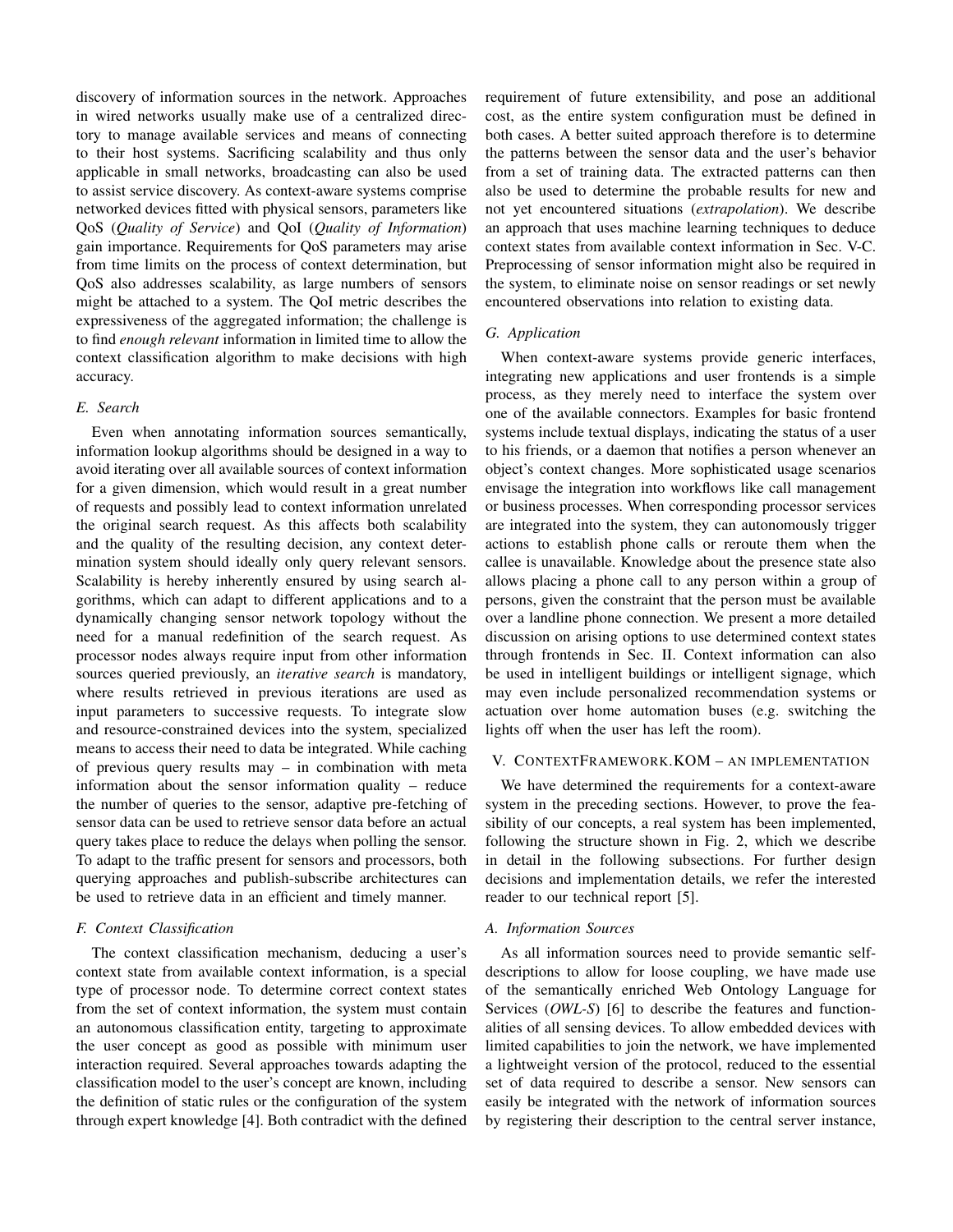discovery of information sources in the network. Approaches in wired networks usually make use of a centralized directory to manage available services and means of connecting to their host systems. Sacrificing scalability and thus only applicable in small networks, broadcasting can also be used to assist service discovery. As context-aware systems comprise networked devices fitted with physical sensors, parameters like QoS (*Quality of Service*) and QoI (*Quality of Information*) gain importance. Requirements for QoS parameters may arise from time limits on the process of context determination, but QoS also addresses scalability, as large numbers of sensors might be attached to a system. The QoI metric describes the expressiveness of the aggregated information; the challenge is to find *enough relevant* information in limited time to allow the context classification algorithm to make decisions with high accuracy.

# *E. Search*

Even when annotating information sources semantically, information lookup algorithms should be designed in a way to avoid iterating over all available sources of context information for a given dimension, which would result in a great number of requests and possibly lead to context information unrelated the original search request. As this affects both scalability and the quality of the resulting decision, any context determination system should ideally only query relevant sensors. Scalability is hereby inherently ensured by using search algorithms, which can adapt to different applications and to a dynamically changing sensor network topology without the need for a manual redefinition of the search request. As processor nodes always require input from other information sources queried previously, an *iterative search* is mandatory, where results retrieved in previous iterations are used as input parameters to successive requests. To integrate slow and resource-constrained devices into the system, specialized means to access their need to data be integrated. While caching of previous query results may – in combination with meta information about the sensor information quality – reduce the number of queries to the sensor, adaptive pre-fetching of sensor data can be used to retrieve sensor data before an actual query takes place to reduce the delays when polling the sensor. To adapt to the traffic present for sensors and processors, both querying approaches and publish-subscribe architectures can be used to retrieve data in an efficient and timely manner.

## *F. Context Classification*

The context classification mechanism, deducing a user's context state from available context information, is a special type of processor node. To determine correct context states from the set of context information, the system must contain an autonomous classification entity, targeting to approximate the user concept as good as possible with minimum user interaction required. Several approaches towards adapting the classification model to the user's concept are known, including the definition of static rules or the configuration of the system through expert knowledge [4]. Both contradict with the defined requirement of future extensibility, and pose an additional cost, as the entire system configuration must be defined in both cases. A better suited approach therefore is to determine the patterns between the sensor data and the user's behavior from a set of training data. The extracted patterns can then also be used to determine the probable results for new and not yet encountered situations (*extrapolation*). We describe an approach that uses machine learning techniques to deduce context states from available context information in Sec. V-C. Preprocessing of sensor information might also be required in the system, to eliminate noise on sensor readings or set newly encountered observations into relation to existing data.

## *G. Application*

When context-aware systems provide generic interfaces, integrating new applications and user frontends is a simple process, as they merely need to interface the system over one of the available connectors. Examples for basic frontend systems include textual displays, indicating the status of a user to his friends, or a daemon that notifies a person whenever an object's context changes. More sophisticated usage scenarios envisage the integration into workflows like call management or business processes. When corresponding processor services are integrated into the system, they can autonomously trigger actions to establish phone calls or reroute them when the callee is unavailable. Knowledge about the presence state also allows placing a phone call to any person within a group of persons, given the constraint that the person must be available over a landline phone connection. We present a more detailed discussion on arising options to use determined context states through frontends in Sec. II. Context information can also be used in intelligent buildings or intelligent signage, which may even include personalized recommendation systems or actuation over home automation buses (e.g. switching the lights off when the user has left the room).

# V. CONTEXTFRAMEWORK.KOM – AN IMPLEMENTATION

We have determined the requirements for a context-aware system in the preceding sections. However, to prove the feasibility of our concepts, a real system has been implemented, following the structure shown in Fig. 2, which we describe in detail in the following subsections. For further design decisions and implementation details, we refer the interested reader to our technical report [5].

## *A. Information Sources*

As all information sources need to provide semantic selfdescriptions to allow for loose coupling, we have made use of the semantically enriched Web Ontology Language for Services (*OWL-S*) [6] to describe the features and functionalities of all sensing devices. To allow embedded devices with limited capabilities to join the network, we have implemented a lightweight version of the protocol, reduced to the essential set of data required to describe a sensor. New sensors can easily be integrated with the network of information sources by registering their description to the central server instance,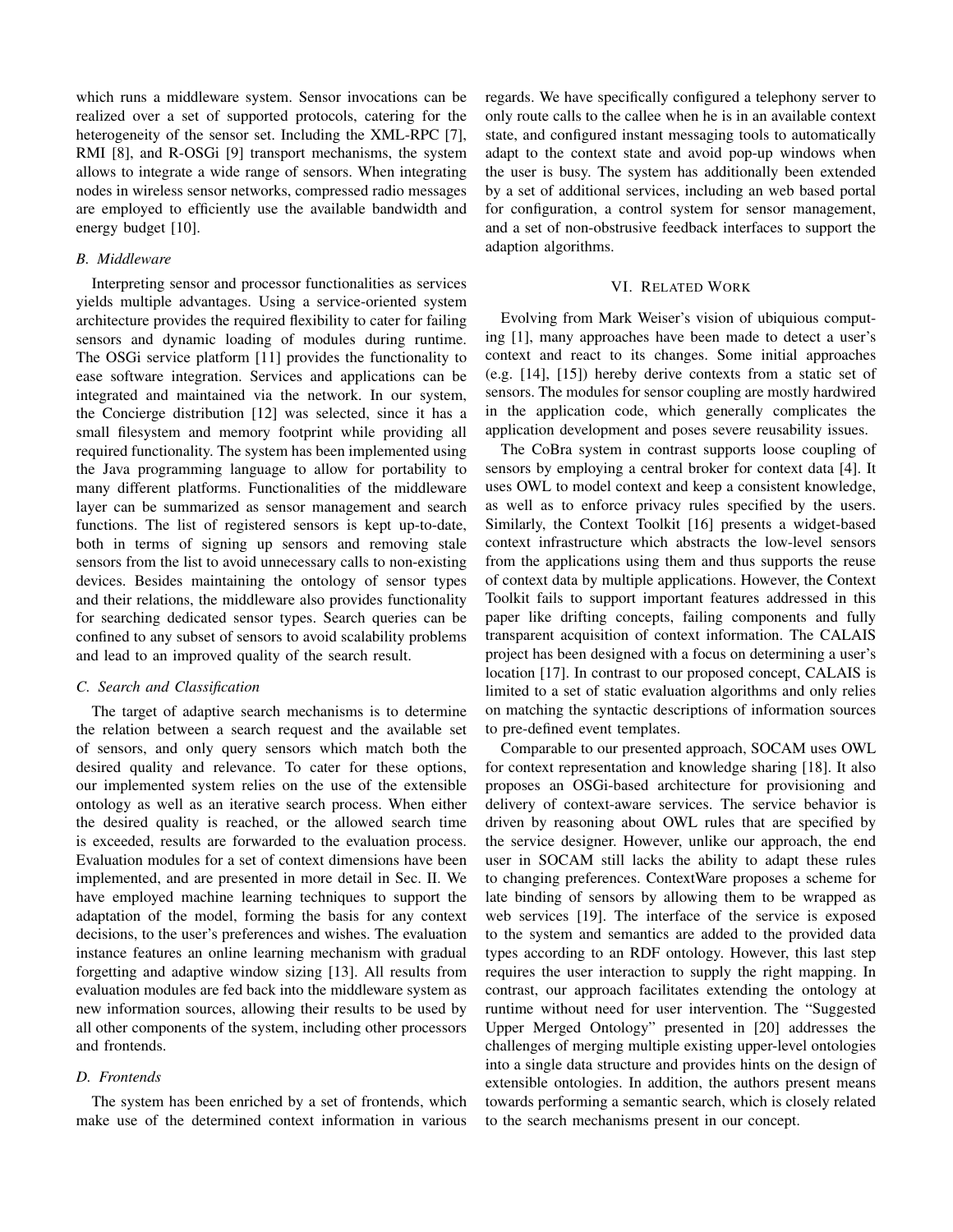which runs a middleware system. Sensor invocations can be realized over a set of supported protocols, catering for the heterogeneity of the sensor set. Including the XML-RPC [7], RMI [8], and R-OSGi [9] transport mechanisms, the system allows to integrate a wide range of sensors. When integrating nodes in wireless sensor networks, compressed radio messages are employed to efficiently use the available bandwidth and energy budget [10].

# *B. Middleware*

Interpreting sensor and processor functionalities as services yields multiple advantages. Using a service-oriented system architecture provides the required flexibility to cater for failing sensors and dynamic loading of modules during runtime. The OSGi service platform [11] provides the functionality to ease software integration. Services and applications can be integrated and maintained via the network. In our system, the Concierge distribution [12] was selected, since it has a small filesystem and memory footprint while providing all required functionality. The system has been implemented using the Java programming language to allow for portability to many different platforms. Functionalities of the middleware layer can be summarized as sensor management and search functions. The list of registered sensors is kept up-to-date, both in terms of signing up sensors and removing stale sensors from the list to avoid unnecessary calls to non-existing devices. Besides maintaining the ontology of sensor types and their relations, the middleware also provides functionality for searching dedicated sensor types. Search queries can be confined to any subset of sensors to avoid scalability problems and lead to an improved quality of the search result.

# *C. Search and Classification*

The target of adaptive search mechanisms is to determine the relation between a search request and the available set of sensors, and only query sensors which match both the desired quality and relevance. To cater for these options, our implemented system relies on the use of the extensible ontology as well as an iterative search process. When either the desired quality is reached, or the allowed search time is exceeded, results are forwarded to the evaluation process. Evaluation modules for a set of context dimensions have been implemented, and are presented in more detail in Sec. II. We have employed machine learning techniques to support the adaptation of the model, forming the basis for any context decisions, to the user's preferences and wishes. The evaluation instance features an online learning mechanism with gradual forgetting and adaptive window sizing [13]. All results from evaluation modules are fed back into the middleware system as new information sources, allowing their results to be used by all other components of the system, including other processors and frontends.

# *D. Frontends*

The system has been enriched by a set of frontends, which make use of the determined context information in various regards. We have specifically configured a telephony server to only route calls to the callee when he is in an available context state, and configured instant messaging tools to automatically adapt to the context state and avoid pop-up windows when the user is busy. The system has additionally been extended by a set of additional services, including an web based portal for configuration, a control system for sensor management, and a set of non-obstrusive feedback interfaces to support the adaption algorithms.

#### VI. RELATED WORK

Evolving from Mark Weiser's vision of ubiquious computing [1], many approaches have been made to detect a user's context and react to its changes. Some initial approaches (e.g. [14], [15]) hereby derive contexts from a static set of sensors. The modules for sensor coupling are mostly hardwired in the application code, which generally complicates the application development and poses severe reusability issues.

The CoBra system in contrast supports loose coupling of sensors by employing a central broker for context data [4]. It uses OWL to model context and keep a consistent knowledge, as well as to enforce privacy rules specified by the users. Similarly, the Context Toolkit [16] presents a widget-based context infrastructure which abstracts the low-level sensors from the applications using them and thus supports the reuse of context data by multiple applications. However, the Context Toolkit fails to support important features addressed in this paper like drifting concepts, failing components and fully transparent acquisition of context information. The CALAIS project has been designed with a focus on determining a user's location [17]. In contrast to our proposed concept, CALAIS is limited to a set of static evaluation algorithms and only relies on matching the syntactic descriptions of information sources to pre-defined event templates.

Comparable to our presented approach, SOCAM uses OWL for context representation and knowledge sharing [18]. It also proposes an OSGi-based architecture for provisioning and delivery of context-aware services. The service behavior is driven by reasoning about OWL rules that are specified by the service designer. However, unlike our approach, the end user in SOCAM still lacks the ability to adapt these rules to changing preferences. ContextWare proposes a scheme for late binding of sensors by allowing them to be wrapped as web services [19]. The interface of the service is exposed to the system and semantics are added to the provided data types according to an RDF ontology. However, this last step requires the user interaction to supply the right mapping. In contrast, our approach facilitates extending the ontology at runtime without need for user intervention. The "Suggested Upper Merged Ontology" presented in [20] addresses the challenges of merging multiple existing upper-level ontologies into a single data structure and provides hints on the design of extensible ontologies. In addition, the authors present means towards performing a semantic search, which is closely related to the search mechanisms present in our concept.